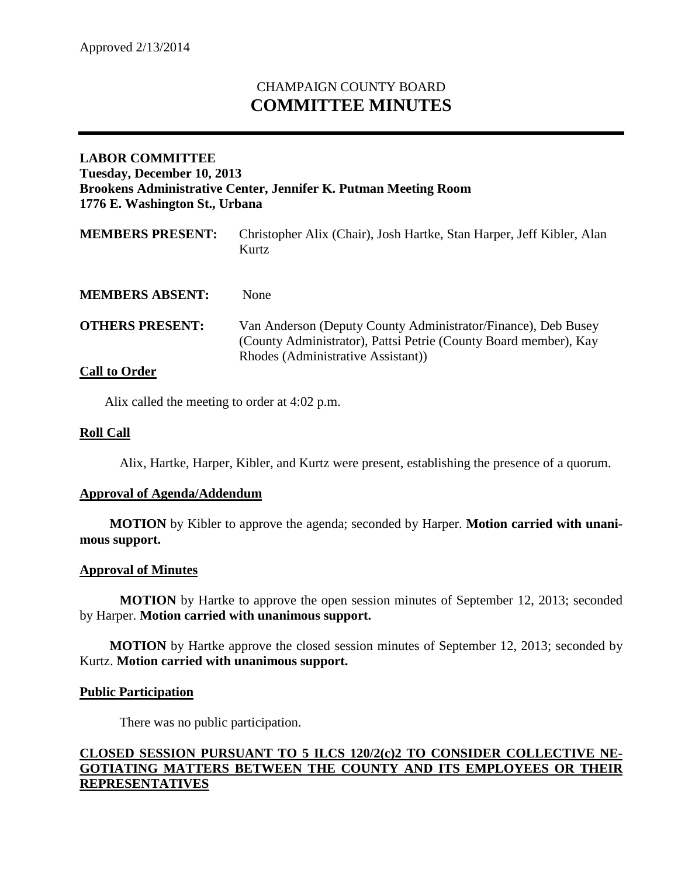# CHAMPAIGN COUNTY BOARD **COMMITTEE MINUTES**

## **LABOR COMMITTEE Tuesday, December 10, 2013 Brookens Administrative Center, Jennifer K. Putman Meeting Room 1776 E. Washington St., Urbana**

| <b>MEMBERS PRESENT:</b> | Christopher Alix (Chair), Josh Hartke, Stan Harper, Jeff Kibler, Alan<br>Kurtz                                                                                          |
|-------------------------|-------------------------------------------------------------------------------------------------------------------------------------------------------------------------|
| <b>MEMBERS ABSENT:</b>  | <b>None</b>                                                                                                                                                             |
| <b>OTHERS PRESENT:</b>  | Van Anderson (Deputy County Administrator/Finance), Deb Busey<br>(County Administrator), Pattsi Petrie (County Board member), Kay<br>Rhodes (Administrative Assistant)) |

## **Call to Order**

Alix called the meeting to order at 4:02 p.m.

### **Roll Call**

Alix, Hartke, Harper, Kibler, and Kurtz were present, establishing the presence of a quorum.

#### **Approval of Agenda/Addendum**

**MOTION** by Kibler to approve the agenda; seconded by Harper. **Motion carried with unanimous support.**

#### **Approval of Minutes**

**MOTION** by Hartke to approve the open session minutes of September 12, 2013; seconded by Harper. **Motion carried with unanimous support.**

**MOTION** by Hartke approve the closed session minutes of September 12, 2013; seconded by Kurtz. **Motion carried with unanimous support.**

#### **Public Participation**

There was no public participation.

## **CLOSED SESSION PURSUANT TO 5 ILCS 120/2(c)2 TO CONSIDER COLLECTIVE NE-GOTIATING MATTERS BETWEEN THE COUNTY AND ITS EMPLOYEES OR THEIR REPRESENTATIVES**